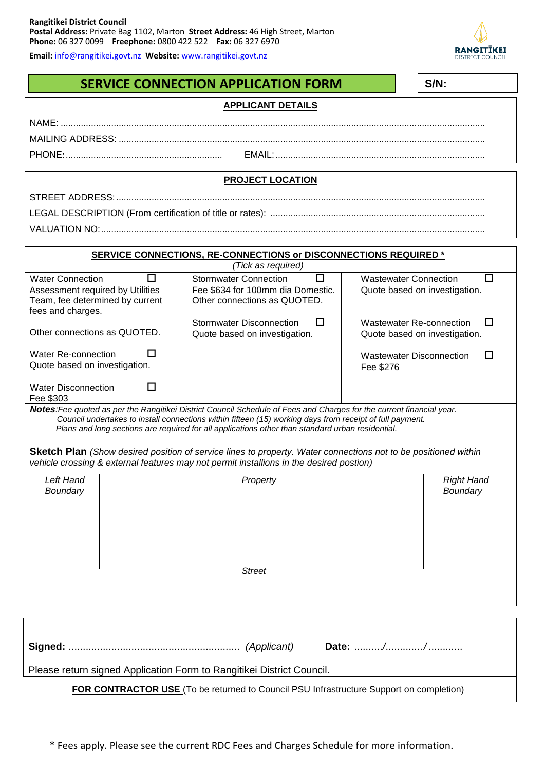**Email:** [info@rangitikei.govt.nz](mailto:info@rangitikei.govt.nz) **Website:** [www.rangitikei.govt.nz](http://www.rangitikei.govt.nz/)

## **SERVICE CONNECTION APPLICATION FORM**

 $\sqrt{S/I}$ 

| SERVICE CONNECTION APPLICATION FORM                                                                                                                                                                                               | 3/IV. |                                                                        |                                                                       |                   |  |
|-----------------------------------------------------------------------------------------------------------------------------------------------------------------------------------------------------------------------------------|-------|------------------------------------------------------------------------|-----------------------------------------------------------------------|-------------------|--|
| <b>APPLICANT DETAILS</b>                                                                                                                                                                                                          |       |                                                                        |                                                                       |                   |  |
|                                                                                                                                                                                                                                   |       |                                                                        |                                                                       |                   |  |
|                                                                                                                                                                                                                                   |       |                                                                        |                                                                       |                   |  |
|                                                                                                                                                                                                                                   |       |                                                                        |                                                                       |                   |  |
|                                                                                                                                                                                                                                   |       |                                                                        |                                                                       |                   |  |
| <b>PROJECT LOCATION</b>                                                                                                                                                                                                           |       |                                                                        |                                                                       |                   |  |
|                                                                                                                                                                                                                                   |       |                                                                        |                                                                       |                   |  |
|                                                                                                                                                                                                                                   |       |                                                                        |                                                                       |                   |  |
|                                                                                                                                                                                                                                   |       |                                                                        |                                                                       |                   |  |
|                                                                                                                                                                                                                                   |       |                                                                        |                                                                       |                   |  |
| <b>SERVICE CONNECTIONS, RE-CONNECTIONS or DISCONNECTIONS REQUIRED *</b>                                                                                                                                                           |       |                                                                        |                                                                       |                   |  |
| (Tick as required)                                                                                                                                                                                                                |       |                                                                        |                                                                       |                   |  |
| <b>Water Connection</b><br>П<br>Assessment required by Utilities                                                                                                                                                                  |       | <b>Stormwater Connection</b><br>П<br>Fee \$634 for 100mm dia Domestic. | <b>Wastewater Connection</b><br>П<br>Quote based on investigation.    |                   |  |
| Team, fee determined by current                                                                                                                                                                                                   |       | Other connections as QUOTED.                                           |                                                                       |                   |  |
| fees and charges.                                                                                                                                                                                                                 |       |                                                                        |                                                                       |                   |  |
| Other connections as QUOTED.                                                                                                                                                                                                      |       | □<br><b>Stormwater Disconnection</b><br>Quote based on investigation.  | <b>Wastewater Re-connection</b><br>Ħ<br>Quote based on investigation. |                   |  |
|                                                                                                                                                                                                                                   |       |                                                                        |                                                                       |                   |  |
| Water Re-connection<br>ΙI                                                                                                                                                                                                         |       |                                                                        | <b>Wastewater Disconnection</b>                                       | Ħ                 |  |
| Quote based on investigation.                                                                                                                                                                                                     |       |                                                                        | Fee \$276                                                             |                   |  |
| <b>Water Disconnection</b><br>□                                                                                                                                                                                                   |       |                                                                        |                                                                       |                   |  |
| Fee \$303                                                                                                                                                                                                                         |       |                                                                        |                                                                       |                   |  |
| Notes: Fee quoted as per the Rangitikei District Council Schedule of Fees and Charges for the current financial year.<br>Council undertakes to install connections within fifteen (15) working days from receipt of full payment. |       |                                                                        |                                                                       |                   |  |
| Plans and long sections are required for all applications other than standard urban residential.                                                                                                                                  |       |                                                                        |                                                                       |                   |  |
| <b>Sketch Plan</b> (Show desired position of service lines to property. Water connections not to be positioned within                                                                                                             |       |                                                                        |                                                                       |                   |  |
| vehicle crossing & external features may not permit installions in the desired postion)                                                                                                                                           |       |                                                                        |                                                                       |                   |  |
| Left Hand                                                                                                                                                                                                                         |       | Property                                                               |                                                                       | <b>Right Hand</b> |  |
| Boundary                                                                                                                                                                                                                          |       |                                                                        |                                                                       | Boundary          |  |
|                                                                                                                                                                                                                                   |       |                                                                        |                                                                       |                   |  |
|                                                                                                                                                                                                                                   |       |                                                                        |                                                                       |                   |  |
|                                                                                                                                                                                                                                   |       |                                                                        |                                                                       |                   |  |
|                                                                                                                                                                                                                                   |       |                                                                        |                                                                       |                   |  |
| <b>Street</b>                                                                                                                                                                                                                     |       |                                                                        |                                                                       |                   |  |
|                                                                                                                                                                                                                                   |       |                                                                        |                                                                       |                   |  |
|                                                                                                                                                                                                                                   |       |                                                                        |                                                                       |                   |  |
|                                                                                                                                                                                                                                   |       |                                                                        |                                                                       |                   |  |
|                                                                                                                                                                                                                                   |       |                                                                        |                                                                       |                   |  |
|                                                                                                                                                                                                                                   |       |                                                                        |                                                                       |                   |  |
|                                                                                                                                                                                                                                   |       |                                                                        |                                                                       |                   |  |

Please return signed Application Form to Rangitikei District Council.

**FOR CONTRACTOR USE** (To be returned to Council PSU Infrastructure Support on completion)

\* Fees apply. Please see the current RDC Fees and Charges Schedule for more information.